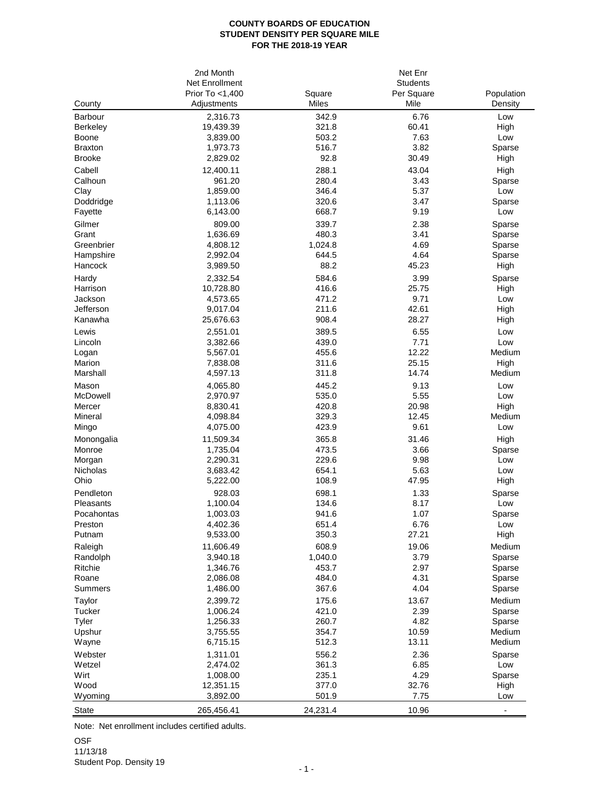## **COUNTY BOARDS OF EDUCATION STUDENT DENSITY PER SQUARE MILE FOR THE 2018-19 YEAR**

|                                 | 2nd Month             |                | Net Enr         |               |
|---------------------------------|-----------------------|----------------|-----------------|---------------|
|                                 | Net Enrollment        |                | <b>Students</b> |               |
|                                 | Prior To <1,400       | Square         | Per Square      | Population    |
| County                          | Adjustments           | Miles          | Mile            | Density       |
| Barbour                         | 2,316.73              | 342.9          | 6.76            | Low           |
| Berkeley                        | 19,439.39             | 321.8          | 60.41           | High          |
| Boone                           | 3,839.00              | 503.2          | 7.63<br>3.82    | Low           |
| <b>Braxton</b><br><b>Brooke</b> | 1,973.73              | 516.7<br>92.8  | 30.49           | Sparse        |
| Cabell                          | 2,829.02              |                |                 | High          |
| Calhoun                         | 12,400.11<br>961.20   | 288.1<br>280.4 | 43.04<br>3.43   | High          |
| Clay                            | 1,859.00              | 346.4          | 5.37            | Sparse<br>Low |
| Doddridge                       | 1,113.06              | 320.6          | 3.47            | Sparse        |
| Fayette                         | 6,143.00              | 668.7          | 9.19            | Low           |
| Gilmer                          | 809.00                | 339.7          | 2.38            | Sparse        |
| Grant                           | 1,636.69              | 480.3          | 3.41            | Sparse        |
| Greenbrier                      | 4,808.12              | 1,024.8        | 4.69            | Sparse        |
| Hampshire                       | 2,992.04              | 644.5          | 4.64            | Sparse        |
| Hancock                         | 3,989.50              | 88.2           | 45.23           | High          |
| Hardy                           | 2,332.54              | 584.6          | 3.99            | Sparse        |
| Harrison                        | 10,728.80             | 416.6          | 25.75           | High          |
| Jackson                         | 4,573.65              | 471.2          | 9.71            | Low           |
| Jefferson                       | 9,017.04              | 211.6          | 42.61           | High          |
| Kanawha                         | 25,676.63             | 908.4          | 28.27           | High          |
| Lewis                           | 2,551.01              | 389.5          | 6.55            | Low           |
| Lincoln                         | 3,382.66              | 439.0          | 7.71            | Low           |
| Logan                           | 5,567.01              | 455.6          | 12.22           | Medium        |
| Marion                          | 7,838.08              | 311.6          | 25.15           | High          |
| Marshall                        | 4,597.13              | 311.8          | 14.74           | Medium        |
| Mason                           | 4,065.80              | 445.2          | 9.13            | Low           |
| McDowell                        | 2,970.97              | 535.0          | 5.55            | Low           |
| Mercer                          | 8,830.41              | 420.8          | 20.98           | High          |
| Mineral                         | 4,098.84<br>4,075.00  | 329.3<br>423.9 | 12.45<br>9.61   | Medium<br>Low |
| Mingo                           |                       |                |                 |               |
| Monongalia<br>Monroe            | 11,509.34             | 365.8<br>473.5 | 31.46<br>3.66   | High          |
| Morgan                          | 1,735.04<br>2,290.31  | 229.6          | 9.98            | Sparse<br>Low |
| Nicholas                        | 3,683.42              | 654.1          | 5.63            | Low           |
| Ohio                            | 5,222.00              | 108.9          | 47.95           | High          |
| Pendleton                       | 928.03                | 698.1          | 1.33            | Sparse        |
| Pleasants                       | 1,100.04              | 134.6          | 8.17            | Low           |
| Pocahontas                      | 1,003.03              | 941.6          | 1.07            | Sparse        |
| Preston                         | 4,402.36              | 651.4          | 6.76            | Low           |
| Putnam                          | 9,533.00              | 350.3          | 27.21           | High          |
| Raleigh                         | 11,606.49             | 608.9          | 19.06           | Medium        |
| Randolph                        | 3,940.18              | 1,040.0        | 3.79            | Sparse        |
| Ritchie                         | 1,346.76              | 453.7          | 2.97            | Sparse        |
| Roane                           | 2,086.08              | 484.0          | 4.31            | Sparse        |
| Summers                         | 1,486.00              | 367.6          | 4.04            | Sparse        |
| Taylor                          | 2,399.72              | 175.6          | 13.67           | Medium        |
| Tucker                          | 1,006.24              | 421.0          | 2.39            | Sparse        |
| Tyler                           | 1,256.33              | 260.7          | 4.82            | Sparse        |
| Upshur                          | 3,755.55              | 354.7          | 10.59           | Medium        |
| Wayne                           | 6,715.15              | 512.3          | 13.11           | Medium        |
| Webster                         | 1,311.01              | 556.2          | 2.36            | Sparse        |
| Wetzel                          | 2,474.02              | 361.3          | 6.85            | Low           |
| Wirt<br>Wood                    | 1,008.00<br>12,351.15 | 235.1<br>377.0 | 4.29<br>32.76   | Sparse        |
| Wyoming                         | 3,892.00              | 501.9          | 7.75            | High<br>Low   |
|                                 |                       |                |                 |               |
| <b>State</b>                    | 265,456.41            | 24,231.4       | 10.96           |               |

Note: Net enrollment includes certified adults.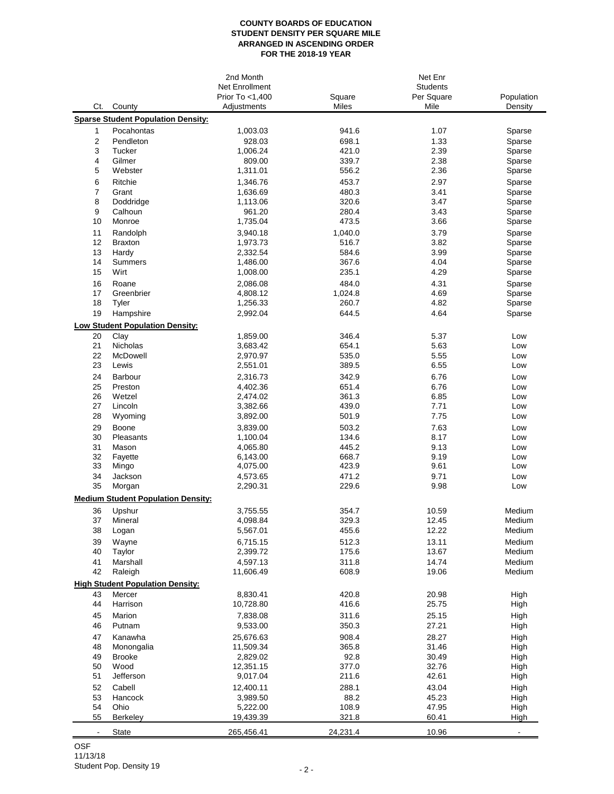## **COUNTY BOARDS OF EDUCATION STUDENT DENSITY PER SQUARE MILE ARRANGED IN ASCENDING ORDER FOR THE 2018-19 YEAR**

|                |                                           | 2nd Month       |          | Net Enr<br><b>Students</b> |                |
|----------------|-------------------------------------------|-----------------|----------|----------------------------|----------------|
|                |                                           | Net Enrollment  |          |                            |                |
|                |                                           | Prior To <1,400 | Square   | Per Square                 | Population     |
| Ct.            | County                                    | Adjustments     | Miles    | Mile                       | Density        |
|                | <b>Sparse Student Population Density:</b> |                 |          |                            |                |
| 1              | Pocahontas                                | 1,003.03        | 941.6    | 1.07                       | Sparse         |
| 2              | Pendleton                                 | 928.03          | 698.1    | 1.33                       | Sparse         |
| 3              | Tucker                                    | 1,006.24        | 421.0    | 2.39                       | Sparse         |
| 4              | Gilmer                                    | 809.00          | 339.7    | 2.38                       | Sparse         |
| 5              | Webster                                   | 1,311.01        | 556.2    | 2.36                       | Sparse         |
|                |                                           |                 |          |                            |                |
| 6<br>7         | Ritchie                                   | 1,346.76        | 453.7    | 2.97                       | Sparse         |
|                | Grant                                     | 1,636.69        | 480.3    | 3.41                       | Sparse         |
| 8              | Doddridge                                 | 1,113.06        | 320.6    | 3.47                       | Sparse         |
| 9              | Calhoun                                   | 961.20          | 280.4    | 3.43                       | Sparse         |
| 10             | Monroe                                    | 1,735.04        | 473.5    | 3.66                       | Sparse         |
| 11             | Randolph                                  | 3,940.18        | 1,040.0  | 3.79                       | Sparse         |
| 12             | <b>Braxton</b>                            | 1,973.73        | 516.7    | 3.82                       | Sparse         |
| 13             | Hardy                                     | 2,332.54        | 584.6    | 3.99                       | Sparse         |
| 14             | <b>Summers</b>                            | 1,486.00        | 367.6    | 4.04                       | Sparse         |
| 15             | Wirt                                      | 1,008.00        | 235.1    | 4.29                       | Sparse         |
| 16             | Roane                                     | 2,086.08        | 484.0    | 4.31                       | Sparse         |
| 17             | Greenbrier                                | 4,808.12        | 1,024.8  | 4.69                       | Sparse         |
| 18             | Tyler                                     | 1,256.33        | 260.7    | 4.82                       | Sparse         |
| 19             | Hampshire                                 | 2,992.04        | 644.5    | 4.64                       | Sparse         |
|                |                                           |                 |          |                            |                |
|                | <b>Low Student Population Density:</b>    |                 |          |                            |                |
| 20             | Clay                                      | 1,859.00        | 346.4    | 5.37                       | Low            |
| 21             | Nicholas                                  | 3,683.42        | 654.1    | 5.63                       | Low            |
| 22             | McDowell                                  | 2,970.97        | 535.0    | 5.55                       | Low            |
| 23             | Lewis                                     | 2,551.01        | 389.5    | 6.55                       | Low            |
| 24             | Barbour                                   | 2,316.73        | 342.9    | 6.76                       | Low            |
| 25             | Preston                                   | 4,402.36        | 651.4    | 6.76                       | Low            |
| 26             | Wetzel                                    | 2,474.02        | 361.3    | 6.85                       | Low            |
| 27             | Lincoln                                   | 3,382.66        | 439.0    | 7.71                       | Low            |
| 28             | Wyoming                                   | 3,892.00        | 501.9    | 7.75                       | Low            |
| 29             | Boone                                     | 3,839.00        | 503.2    | 7.63                       | Low            |
| 30             | Pleasants                                 | 1,100.04        | 134.6    | 8.17                       | Low            |
| 31             | Mason                                     | 4,065.80        | 445.2    | 9.13                       | Low            |
| 32             | Fayette                                   | 6,143.00        | 668.7    | 9.19                       | Low            |
| 33             | Mingo                                     | 4,075.00        | 423.9    | 9.61                       | Low            |
| 34             | Jackson                                   | 4,573.65        | 471.2    | 9.71                       | Low            |
| 35             | Morgan                                    | 2,290.31        | 229.6    | 9.98                       | Low            |
|                |                                           |                 |          |                            |                |
|                | <b>Medium Student Population Density:</b> |                 |          |                            |                |
| 36             | Upshur                                    | 3,755.55        | 354.7    | 10.59                      | Medium         |
| 37             | Mineral                                   | 4,098.84        | 329.3    | 12.45                      | Medium         |
| 38             | Logan                                     | 5,567.01        | 455.6    | 12.22                      | Medium         |
| 39             | Wayne                                     | 6,715.15        | 512.3    | 13.11                      | Medium         |
| 40             | Taylor                                    | 2,399.72        | 175.6    | 13.67                      | Medium         |
| 41             | Marshall                                  | 4,597.13        | 311.8    | 14.74                      | Medium         |
| 42             | Raleigh                                   | 11,606.49       | 608.9    | 19.06                      | Medium         |
|                | <b>High Student Population Density:</b>   |                 |          |                            |                |
|                |                                           |                 |          |                            |                |
| 43             | Mercer                                    | 8,830.41        | 420.8    | 20.98                      | High           |
| 44             | Harrison                                  | 10,728.80       | 416.6    | 25.75                      | High           |
| 45             | Marion                                    | 7,838.08        | 311.6    | 25.15                      | High           |
| 46             | Putnam                                    | 9,533.00        | 350.3    | 27.21                      | High           |
| 47             | Kanawha                                   | 25,676.63       | 908.4    | 28.27                      | High           |
| 48             | Monongalia                                | 11,509.34       | 365.8    | 31.46                      | High           |
| 49             | <b>Brooke</b>                             | 2,829.02        | 92.8     | 30.49                      | High           |
| 50             | Wood                                      | 12,351.15       | 377.0    | 32.76                      | High           |
| 51             | Jefferson                                 | 9,017.04        | 211.6    | 42.61                      | High           |
| 52             | Cabell                                    | 12,400.11       | 288.1    | 43.04                      | High           |
| 53             | Hancock                                   | 3,989.50        | 88.2     | 45.23                      | High           |
| 54             | Ohio                                      | 5,222.00        | 108.9    | 47.95                      | High           |
| 55             | Berkeley                                  | 19,439.39       | 321.8    | 60.41                      | High           |
|                |                                           |                 |          |                            |                |
| $\blacksquare$ | State                                     | 265,456.41      | 24,231.4 | 10.96                      | $\blacksquare$ |